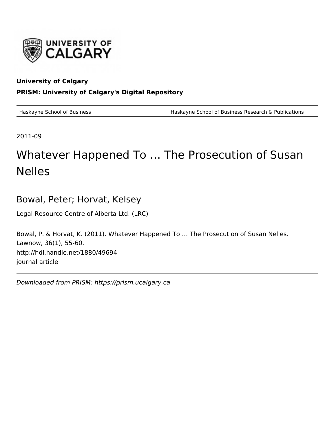

### **University of Calgary PRISM: University of Calgary's Digital Repository**

Haskayne School of Business Haskayne School of Business Research & Publications

2011-09

# Whatever Happened To … The Prosecution of Susan Nelles

# Bowal, Peter; Horvat, Kelsey

Legal Resource Centre of Alberta Ltd. (LRC)

Bowal, P. & Horvat, K. (2011). Whatever Happened To … The Prosecution of Susan Nelles. Lawnow, 36(1), 55-60. http://hdl.handle.net/1880/49694 journal article

Downloaded from PRISM: https://prism.ucalgary.ca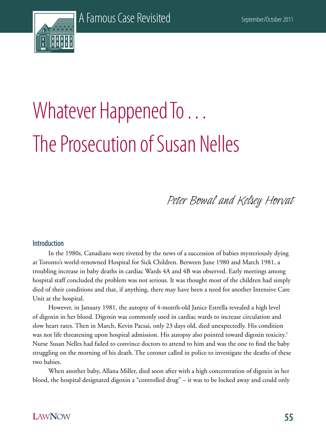

# Whatever Happened To . . . The Prosecution of Susan Nelles

Peter Bowal and Kelsey Horvat

#### Introduction

In the 1980s, Canadians were riveted by the news of a succession of babies mysteriously dying at Toronto's world-renowned Hospital for Sick Children. Between June 1980 and March 1981, a troubling increase in baby deaths in cardiac Wards 4A and 4B was observed. Early meetings among hospital staff concluded the problem was not serious. It was thought most of the children had simply died of their conditions and that, if anything, there may have been a need for another Intensive Care Unit at the hospital.

However, in January 1981, the autopsy of 4-month-old Janice Estrella revealed a high level of digoxin in her blood. Digoxin was commonly used in cardiac wards to increase circulation and slow heart rates. Then in March, Kevin Pacsai, only 23 days old, died unexpectedly. His condition was not life threatening upon hospital admission. His autopsy also pointed toward digoxin toxicity.<sup>1</sup> Nurse Susan Nelles had failed to convince doctors to attend to him and was the one to find the baby struggling on the morning of his death. The coroner called in police to investigate the deaths of these two babies.

When another baby, Allana Miller, died soon after with a high concentration of digoxin in her blood, the hospital designated digoxin a "controlled drug" – it was to be locked away and could only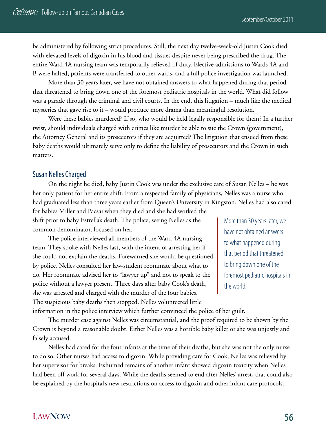be administered by following strict procedures. Still, the next day twelve-week-old Justin Cook died with elevated levels of digoxin in his blood and tissues despite never being prescribed the drug. The entire Ward 4A nursing team was temporarily relieved of duty. Elective admissions to Wards 4A and B were halted, patients were transferred to other wards, and a full police investigation was launched.

More than 30 years later, we have not obtained answers to what happened during that period that threatened to bring down one of the foremost pediatric hospitals in the world. What did follow was a parade through the criminal and civil courts. In the end, this litigation – much like the medical mysteries that gave rise to it – would produce more drama than meaningful resolution.

Were these babies murdered? If so, who would be held legally responsible for them? In a further twist, should individuals charged with crimes like murder be able to sue the Crown (government), the Attorney General and its prosecutors if they are acquitted? The litigation that ensued from these baby deaths would ultimately serve only to define the liability of prosecutors and the Crown in such matters.

#### Susan Nelles Charged

On the night he died, baby Justin Cook was under the exclusive care of Susan Nelles – he was her only patient for her entire shift. From a respected family of physicians, Nelles was a nurse who had graduated less than three years earlier from Queen's University in Kingston. Nelles had also cared

for babies Miller and Pacsai when they died and she had worked the shift prior to baby Estrella's death. The police, seeing Nelles as the common denominator, focused on her.

The police interviewed all members of the Ward 4A nursing team. They spoke with Nelles last, with the intent of arresting her if she could not explain the deaths. Forewarned she would be questioned by police, Nelles consulted her law-student roommate about what to do. Her roommate advised her to "lawyer up" and not to speak to the police without a lawyer present. Three days after baby Cook's death, she was arrested and charged with the murder of the four babies. The suspicious baby deaths then stopped. Nelles volunteered little

More than 30 years later, we have not obtained answers to what happened during that period that threatened to bring down one of the foremost pediatric hospitals in the world.

information in the police interview which further convinced the police of her guilt.

The murder case against Nelles was circumstantial, and the proof required to be shown by the Crown is beyond a reasonable doubt. Either Nelles was a horrible baby killer or she was unjustly and falsely accused.

Nelles had cared for the four infants at the time of their deaths, but she was not the only nurse to do so. Other nurses had access to digoxin. While providing care for Cook, Nelles was relieved by her supervisor for breaks. Exhumed remains of another infant showed digoxin toxicity when Nelles had been off work for several days. While the deaths seemed to end after Nelles' arrest, that could also be explained by the hospital's new restrictions on access to digoxin and other infant care protocols.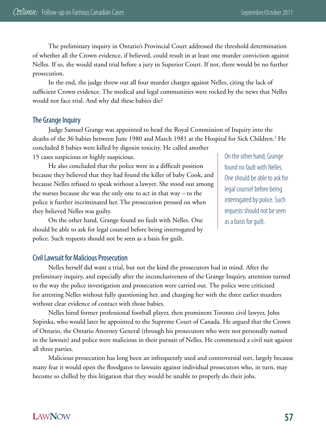The preliminary inquiry in Ontario's Provincial Court addressed the threshold determination of whether all the Crown evidence, if believed, could result in at least one murder conviction against Nelles. If so, she would stand trial before a jury in Superior Court. If not, there would be no further prosecution.

In the end, the judge threw out all four murder charges against Nelles, citing the lack of sufficient Crown evidence. The medical and legal communities were rocked by the news that Nelles would not face trial. And why did these babies die?

#### The Grange Inquiry

Judge Samuel Grange was appointed to head the Royal Commission of Inquiry into the deaths of the 36 babies between June 1980 and March 1981 at the Hospital for Sick Children.<sup>2</sup> He concluded 8 babies were killed by digoxin toxicity. He called another 15 cases suspicious or highly suspicious.

He also concluded that the police were in a difficult position because they believed that they had found the killer of baby Cook, and because Nelles refused to speak without a lawyer. She stood out among the nurses because she was the only one to act in that way – to the police it further incriminated her. The prosecution pressed on when they believed Nelles was guilty.

On the other hand, Grange found no fault with Nelles. One should be able to ask for legal counsel before being interrogated by police. Such requests should not be seen as a basis for guilt.

On the other hand, Grange found no fault with Nelles. One should be able to ask for legal counsel before being interrogated by police. Such requests should not be seen as a basis for guilt.

#### Civil Lawsuit for Malicious Prosecution

Nelles herself did want a trial, but not the kind the prosecutors had in mind. After the preliminary inquiry, and especially after the inconclusiveness of the Grange Inquiry, attention turned to the way the police investigation and prosecution were carried out. The police were criticized for arresting Nelles without fully questioning her, and charging her with the three earlier murders without clear evidence of contact with those babies.

Nelles hired former professional football player, then prominent Toronto civil lawyer, John Sopinka, who would later be appointed to the Supreme Court of Canada. He argued that the Crown of Ontario, the Ontario Attorney General (through his prosecutors who were not personally named in the lawsuit) and police were malicious in their pursuit of Nelles. He commenced a civil suit against all three parties.

Malicious prosecution has long been an infrequently used and controversial tort, largely because many fear it would open the floodgates to lawsuits against individual prosecutors who, in turn, may become so chilled by this litigation that they would be unable to properly do their jobs.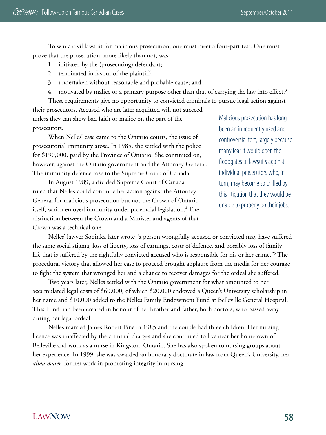To win a civil lawsuit for malicious prosecution, one must meet a four-part test. One must prove that the prosecution, more likely than not, was:

- 1. initiated by the (prosecuting) defendant;
- 2. terminated in favour of the plaintiff;
- 3. undertaken without reasonable and probable cause; and
- 4. motivated by malice or a primary purpose other than that of carrying the law into effect.<sup>3</sup>

These requirements give no opportunity to convicted criminals to pursue legal action against their prosecutors. Accused who are later acquitted will not succeed unless they can show bad faith or malice on the part of the prosecutors.

When Nelles' case came to the Ontario courts, the issue of prosecutorial immunity arose. In 1985, she settled with the police for \$190,000, paid by the Province of Ontario. She continued on, however, against the Ontario government and the Attorney General. The immunity defence rose to the Supreme Court of Canada.

In August 1989, a divided Supreme Court of Canada ruled that Nelles could continue her action against the Attorney General for malicious prosecution but not the Crown of Ontario itself, which enjoyed immunity under provincial legislation.<sup>4</sup> The distinction between the Crown and a Minister and agents of that Crown was a technical one.

Malicious prosecution has long been an infrequently used and controversial tort, largely because many fear it would open the floodgates to lawsuits against individual prosecutors who, in turn, may become so chilled by this litigation that they would be unable to properly do their jobs.

Nelles' lawyer Sopinka later wrote "a person wrongfully accused or convicted may have suffered the same social stigma, loss of liberty, loss of earnings, costs of defence, and possibly loss of family life that is suffered by the rightfully convicted accused who is responsible for his or her crime."5 The procedural victory that allowed her case to proceed brought applause from the media for her courage to fight the system that wronged her and a chance to recover damages for the ordeal she suffered.

Two years later, Nelles settled with the Ontario government for what amounted to her accumulated legal costs of \$60,000, of which \$20,000 endowed a Queen's University scholarship in her name and \$10,000 added to the Nelles Family Endowment Fund at Belleville General Hospital. This Fund had been created in honour of her brother and father, both doctors, who passed away during her legal ordeal.

Nelles married James Robert Pine in 1985 and the couple had three children. Her nursing licence was unaffected by the criminal charges and she continued to live near her hometown of Belleville and work as a nurse in Kingston, Ontario. She has also spoken to nursing groups about her experience. In 1999, she was awarded an honorary doctorate in law from Queen's University, her *alma mater*, for her work in promoting integrity in nursing.

# **LAWNOW**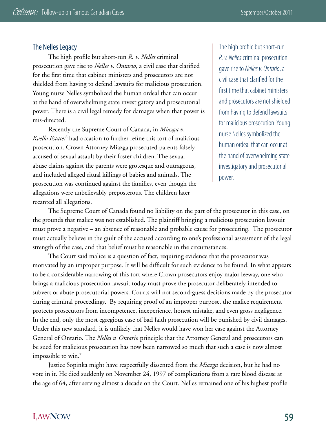#### The Nelles Legacy

The high profile but short-run *R. v. Nelles* criminal prosecution gave rise to *Nelles v. Ontario*, a civil case that clarified for the first time that cabinet ministers and prosecutors are not shielded from having to defend lawsuits for malicious prosecution. Young nurse Nelles symbolized the human ordeal that can occur at the hand of overwhelming state investigatory and prosecutorial power. There is a civil legal remedy for damages when that power is mis-directed.

Recently the Supreme Court of Canada, in *Miazga v. Kvello Estate*, 6 had occasion to further refine this tort of malicious prosecution. Crown Attorney Miazga prosecuted parents falsely accused of sexual assault by their foster children. The sexual abuse claims against the parents were grotesque and outrageous, and included alleged ritual killings of babies and animals. The prosecution was continued against the families, even though the allegations were unbelievably preposterous. The children later recanted all allegations.

The high profile but short-run *R. v. Nelles* criminal prosecution gave rise to *Nelles v. Ontario*, a civil case that clarified for the first time that cabinet ministers and prosecutors are not shielded from having to defend lawsuits for malicious prosecution. Young nurse Nelles symbolized the human ordeal that can occur at the hand of overwhelming state investigatory and prosecutorial power.

The Supreme Court of Canada found no liability on the part of the prosecutor in this case, on the grounds that malice was not established. The plaintiff bringing a malicious prosecution lawsuit must prove a negative – an absence of reasonable and probable cause for prosecuting. The prosecutor must actually believe in the guilt of the accused according to one's professional assessment of the legal strength of the case, and that belief must be reasonable in the circumstances.

The Court said malice is a question of fact, requiring evidence that the prosecutor was motivated by an improper purpose. It will be difficult for such evidence to be found. In what appears to be a considerable narrowing of this tort where Crown prosecutors enjoy major leeway, one who brings a malicious prosecution lawsuit today must prove the prosecutor deliberately intended to subvert or abuse prosecutorial powers. Courts will not second-guess decisions made by the prosecutor during criminal proceedings. By requiring proof of an improper purpose, the malice requirement protects prosecutors from incompetence, inexperience, honest mistake, and even gross negligence. In the end, only the most egregious case of bad faith prosecution will be punished by civil damages. Under this new standard, it is unlikely that Nelles would have won her case against the Attorney General of Ontario. The *Nelles v. Ontario* principle that the Attorney General and prosecutors can be sued for malicious prosecution has now been narrowed so much that such a case is now almost impossible to win.<sup>7</sup>

Justice Sopinka might have respectfully dissented from the *Miazga* decision, but he had no vote in it. He died suddenly on November 24, 1997 of complications from a rare blood disease at the age of 64, after serving almost a decade on the Court. Nelles remained one of his highest profile

# **LAWNOW**